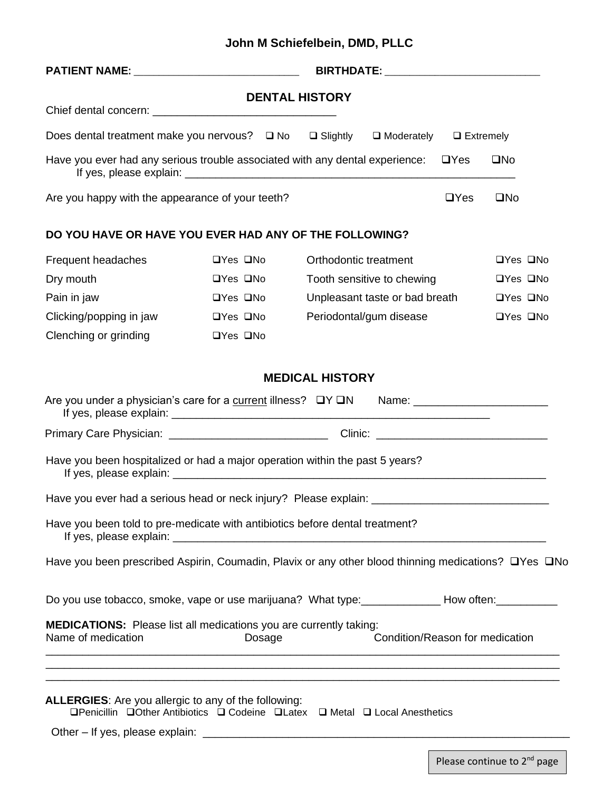## **John M Schiefelbein, DMD, PLLC**

| PATIENT NAME: __________________________________                                                                                                                            |                      |                      |                         |                                 |                  |                      |                      |
|-----------------------------------------------------------------------------------------------------------------------------------------------------------------------------|----------------------|----------------------|-------------------------|---------------------------------|------------------|----------------------|----------------------|
|                                                                                                                                                                             |                      |                      | <b>DENTAL HISTORY</b>   |                                 |                  |                      |                      |
|                                                                                                                                                                             |                      |                      |                         |                                 |                  |                      |                      |
| Does dental treatment make you nervous? $\Box$ No $\Box$ Slightly $\Box$ Moderately                                                                                         |                      |                      |                         |                                 | $\Box$ Extremely |                      |                      |
| Have you ever had any serious trouble associated with any dental experience:                                                                                                |                      |                      |                         |                                 | $\Box$ Yes       | $\square$ No         |                      |
| Are you happy with the appearance of your teeth?                                                                                                                            |                      |                      |                         |                                 | $\Box$ Yes       | $\square$ No         |                      |
| DO YOU HAVE OR HAVE YOU EVER HAD ANY OF THE FOLLOWING?                                                                                                                      |                      |                      |                         |                                 |                  |                      |                      |
| Frequent headaches                                                                                                                                                          | $\Box$ Yes $\Box$ No |                      | Orthodontic treatment   |                                 |                  | $\Box$ Yes $\Box$ No |                      |
| Dry mouth                                                                                                                                                                   |                      | $\Box$ Yes $\Box$ No |                         | Tooth sensitive to chewing      |                  |                      | $\Box$ Yes $\Box$ No |
| Pain in jaw                                                                                                                                                                 |                      | $\Box$ Yes $\Box$ No |                         | Unpleasant taste or bad breath  |                  | $\Box$ Yes $\Box$ No |                      |
| Clicking/popping in jaw                                                                                                                                                     | $\Box$ Yes $\Box$ No |                      | Periodontal/gum disease |                                 |                  | □Yes □No             |                      |
| Clenching or grinding                                                                                                                                                       | □Yes □No             |                      |                         |                                 |                  |                      |                      |
|                                                                                                                                                                             |                      |                      | <b>MEDICAL HISTORY</b>  |                                 |                  |                      |                      |
| Are you under a physician's care for a current illness? □Y □N Name: ___________________                                                                                     |                      |                      |                         |                                 |                  |                      |                      |
|                                                                                                                                                                             |                      |                      |                         |                                 |                  |                      |                      |
| Have you been hospitalized or had a major operation within the past 5 years?                                                                                                |                      |                      |                         |                                 |                  |                      |                      |
| Have you ever had a serious head or neck injury? Please explain: ___________________________________                                                                        |                      |                      |                         |                                 |                  |                      |                      |
| Have you been told to pre-medicate with antibiotics before dental treatment?                                                                                                |                      |                      |                         |                                 |                  |                      |                      |
| Have you been prescribed Aspirin, Coumadin, Plavix or any other blood thinning medications? □Yes □No                                                                        |                      |                      |                         |                                 |                  |                      |                      |
| Do you use tobacco, smoke, vape or use marijuana? What type: ______________How often: ____________                                                                          |                      |                      |                         |                                 |                  |                      |                      |
| <b>MEDICATIONS:</b> Please list all medications you are currently taking:<br>Name of medication                                                                             | Dosage               |                      |                         | Condition/Reason for medication |                  |                      |                      |
|                                                                                                                                                                             |                      |                      |                         |                                 |                  |                      |                      |
| <b>ALLERGIES:</b> Are you allergic to any of the following:<br>$\Box$ Penicillin $\Box$ Other Antibiotics $\Box$ Codeine $\Box$ Latex $\Box$ Metal $\Box$ Local Anesthetics |                      |                      |                         |                                 |                  |                      |                      |
|                                                                                                                                                                             |                      |                      |                         |                                 |                  |                      |                      |